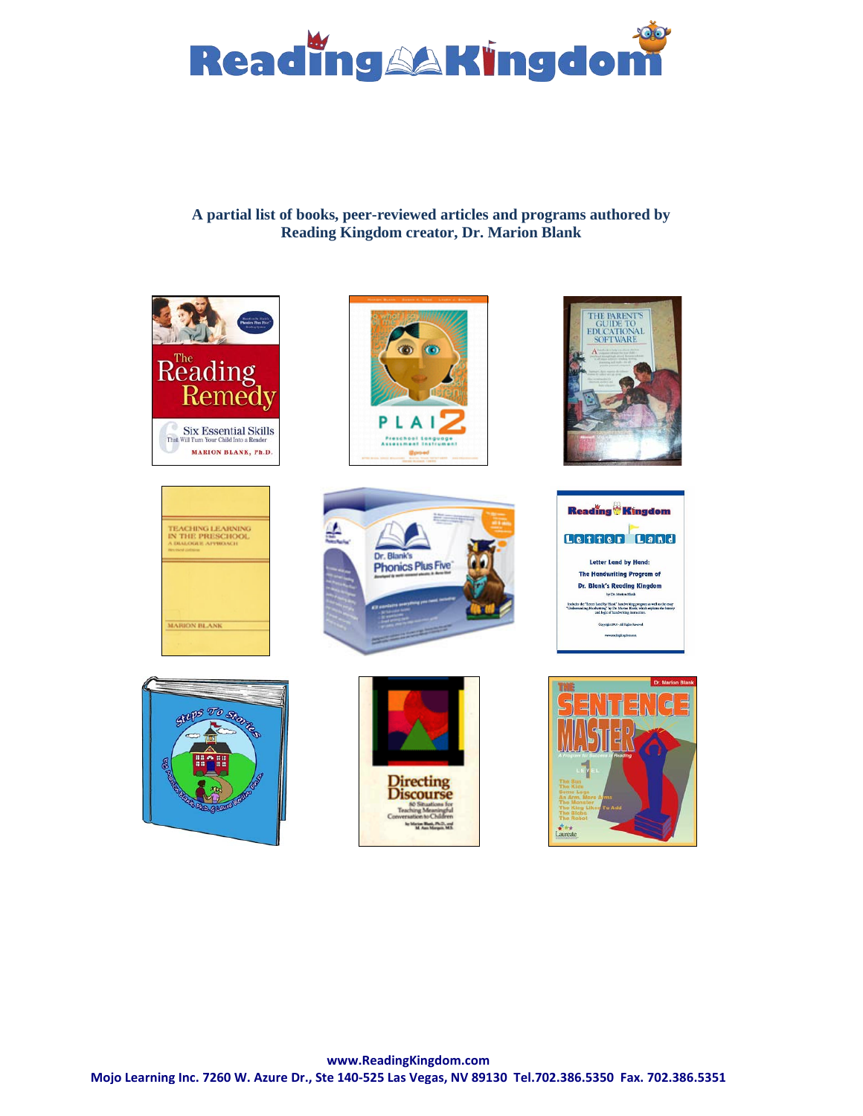

# **A partial list of books, peer-reviewed articles and programs authored by Reading Kingdom creator, Dr. Marion Blank**

















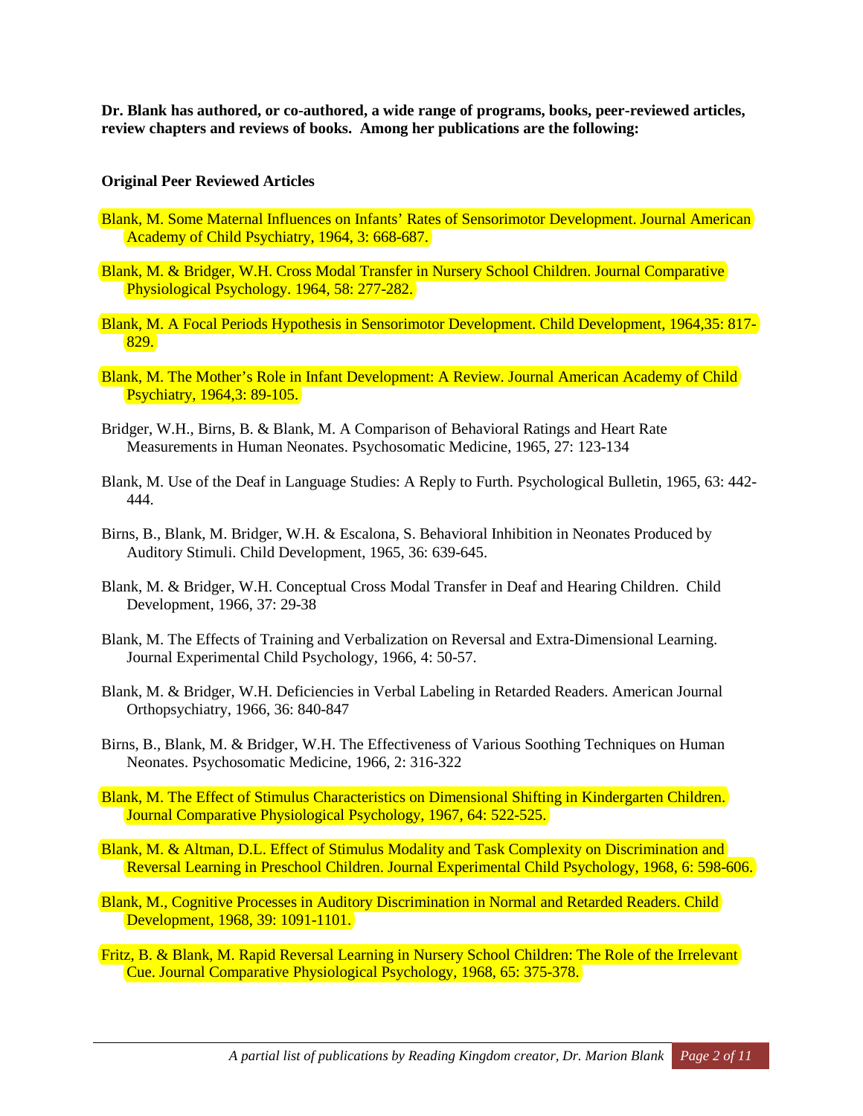**Dr. Blank has authored, or co-authored, a wide range of programs, books, peer-reviewed articles, review chapters and reviews of books. Among her publications are the following:**

#### **Original Peer Reviewed Articles**

- Blank, M. Some Maternal Influences on Infants' Rates of Sensorimotor Development. Journal American Academy of Child Psychiatry, 1964, 3: 668-687.
- Blank, M. & Bridger, W.H. Cross Modal Transfer in Nursery School Children. Journal Comparative Physiological Psychology. 1964, 58: 277-282.
- Blank, M. A Focal Periods Hypothesis in Sensorimotor Development. Child Development, 1964,35: 817- 829.
- Blank, M. The Mother's Role in Infant Development: A Review. Journal American Academy of Child Psychiatry, 1964,3: 89-105.
- Bridger, W.H., Birns, B. & Blank, M. A Comparison of Behavioral Ratings and Heart Rate Measurements in Human Neonates. Psychosomatic Medicine, 1965, 27: 123-134
- Blank, M. Use of the Deaf in Language Studies: A Reply to Furth. Psychological Bulletin, 1965, 63: 442- 444.
- Birns, B., Blank, M. Bridger, W.H. & Escalona, S. Behavioral Inhibition in Neonates Produced by Auditory Stimuli. Child Development, 1965, 36: 639-645.
- Blank, M. & Bridger, W.H. Conceptual Cross Modal Transfer in Deaf and Hearing Children. Child Development, 1966, 37: 29-38
- Blank, M. The Effects of Training and Verbalization on Reversal and Extra-Dimensional Learning. Journal Experimental Child Psychology, 1966, 4: 50-57.
- Blank, M. & Bridger, W.H. Deficiencies in Verbal Labeling in Retarded Readers. American Journal Orthopsychiatry, 1966, 36: 840-847
- Birns, B., Blank, M. & Bridger, W.H. The Effectiveness of Various Soothing Techniques on Human Neonates. Psychosomatic Medicine, 1966, 2: 316-322
- Blank, M. The Effect of Stimulus Characteristics on Dimensional Shifting in Kindergarten Children. Journal Comparative Physiological Psychology, 1967, 64: 522-525.
- Blank, M. & Altman, D.L. Effect of Stimulus Modality and Task Complexity on Discrimination and Reversal Learning in Preschool Children. Journal Experimental Child Psychology, 1968, 6: 598-606.
- Blank, M., Cognitive Processes in Auditory Discrimination in Normal and Retarded Readers. Child Development, 1968, 39: 1091-1101.
- Fritz, B. & Blank, M. Rapid Reversal Learning in Nursery School Children: The Role of the Irrelevant Cue. Journal Comparative Physiological Psychology, 1968, 65: 375-378.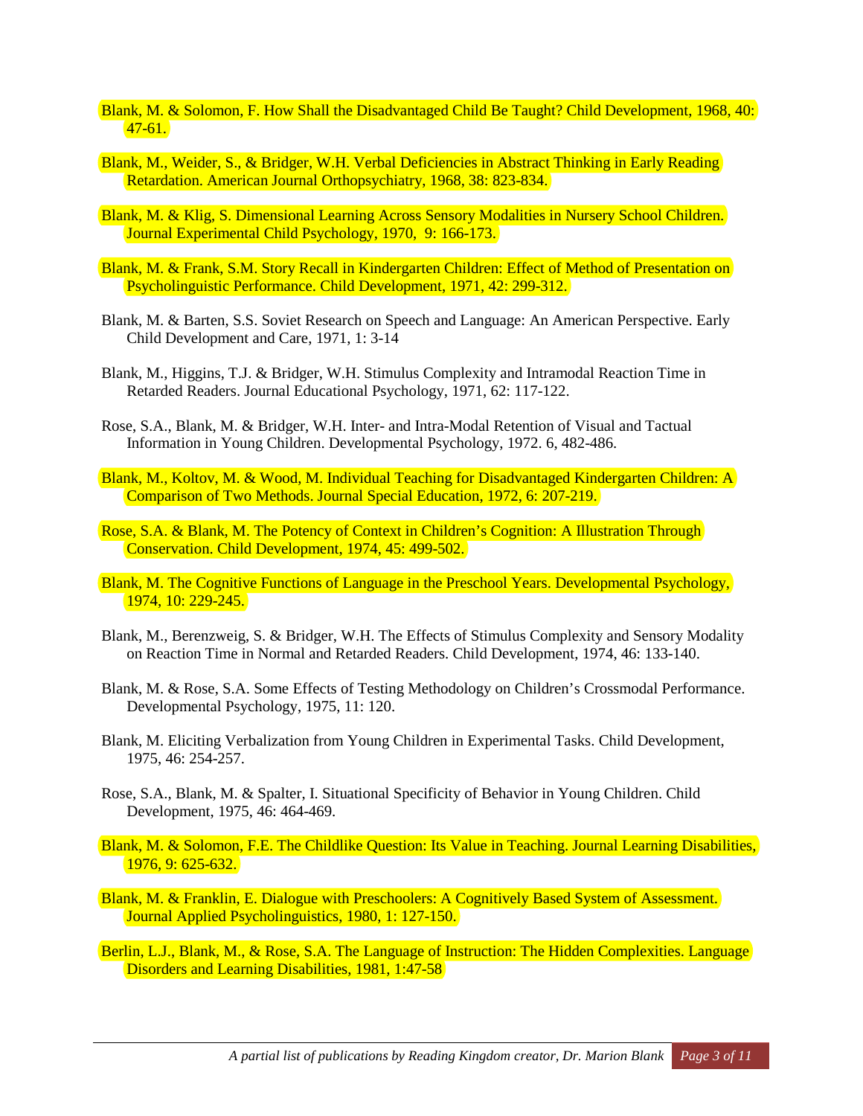- Blank, M. & Solomon, F. How Shall the Disadvantaged Child Be Taught? Child Development, 1968, 40: 47-61.
- Blank, M., Weider, S., & Bridger, W.H. Verbal Deficiencies in Abstract Thinking in Early Reading Retardation. American Journal Orthopsychiatry, 1968, 38: 823-834.
- Blank, M. & Klig, S. Dimensional Learning Across Sensory Modalities in Nursery School Children. Journal Experimental Child Psychology, 1970, 9: 166-173.
- Blank, M. & Frank, S.M. Story Recall in Kindergarten Children: Effect of Method of Presentation on Psycholinguistic Performance. Child Development, 1971, 42: 299-312.
- Blank, M. & Barten, S.S. Soviet Research on Speech and Language: An American Perspective. Early Child Development and Care, 1971, 1: 3-14
- Blank, M., Higgins, T.J. & Bridger, W.H. Stimulus Complexity and Intramodal Reaction Time in Retarded Readers. Journal Educational Psychology, 1971, 62: 117-122.
- Rose, S.A., Blank, M. & Bridger, W.H. Inter- and Intra-Modal Retention of Visual and Tactual Information in Young Children. Developmental Psychology, 1972. 6, 482-486.
- Blank, M., Koltov, M. & Wood, M. Individual Teaching for Disadvantaged Kindergarten Children: A Comparison of Two Methods. Journal Special Education, 1972, 6: 207-219.
- Rose, S.A. & Blank, M. The Potency of Context in Children's Cognition: A Illustration Through Conservation. Child Development, 1974, 45: 499-502.
- Blank, M. The Cognitive Functions of Language in the Preschool Years. Developmental Psychology, 1974, 10: 229-245.
- Blank, M., Berenzweig, S. & Bridger, W.H. The Effects of Stimulus Complexity and Sensory Modality on Reaction Time in Normal and Retarded Readers. Child Development, 1974, 46: 133-140.
- Blank, M. & Rose, S.A. Some Effects of Testing Methodology on Children's Crossmodal Performance. Developmental Psychology, 1975, 11: 120.
- Blank, M. Eliciting Verbalization from Young Children in Experimental Tasks. Child Development, 1975, 46: 254-257.
- Rose, S.A., Blank, M. & Spalter, I. Situational Specificity of Behavior in Young Children. Child Development, 1975, 46: 464-469.
- Blank, M. & Solomon, F.E. The Childlike Question: Its Value in Teaching. Journal Learning Disabilities, 1976, 9: 625-632.
- Blank, M. & Franklin, E. Dialogue with Preschoolers: A Cognitively Based System of Assessment. Journal Applied Psycholinguistics, 1980, 1: 127-150.
- Berlin, L.J., Blank, M., & Rose, S.A. The Language of Instruction: The Hidden Complexities. Language Disorders and Learning Disabilities, 1981, 1:47-58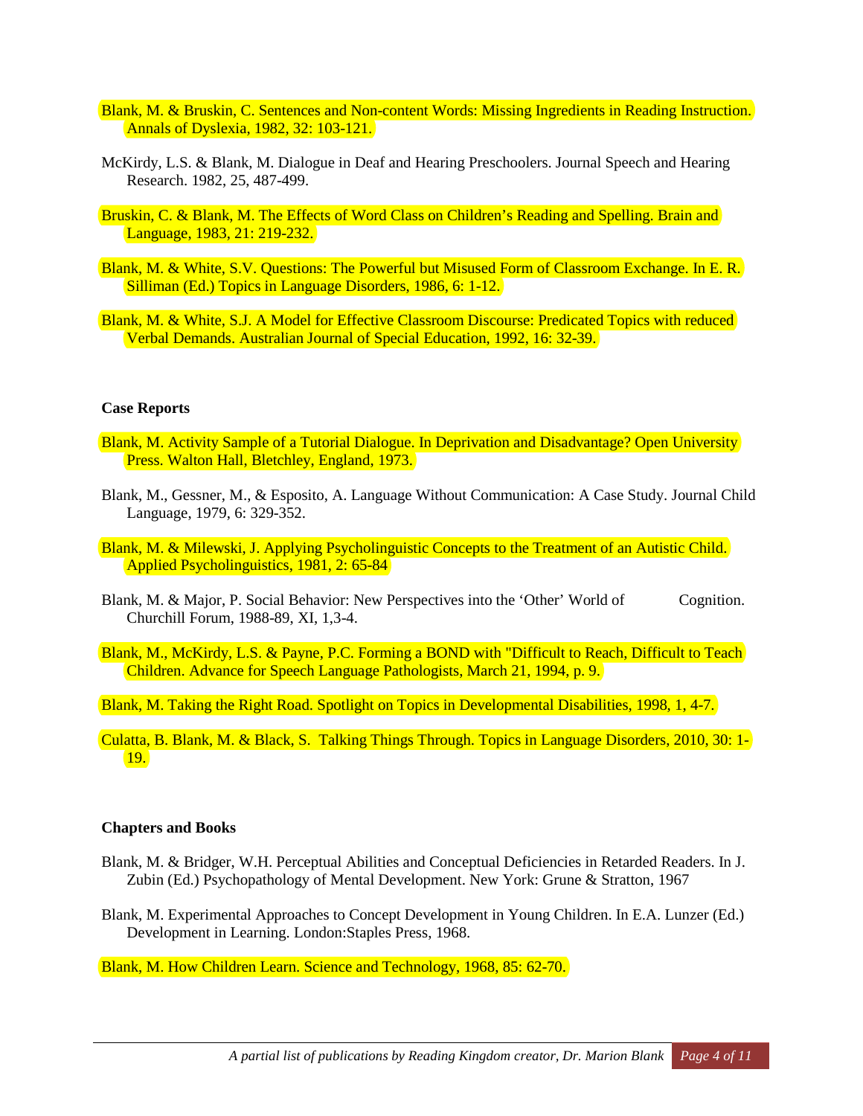- Blank, M. & Bruskin, C. Sentences and Non-content Words: Missing Ingredients in Reading Instruction. Annals of Dyslexia, 1982, 32: 103-121.
- McKirdy, L.S. & Blank, M. Dialogue in Deaf and Hearing Preschoolers. Journal Speech and Hearing Research. 1982, 25, 487-499.
- Bruskin, C. & Blank, M. The Effects of Word Class on Children's Reading and Spelling. Brain and Language, 1983, 21: 219-232.
- Blank, M. & White, S.V. Questions: The Powerful but Misused Form of Classroom Exchange. In E. R. Silliman (Ed.) Topics in Language Disorders, 1986, 6: 1-12.
- Blank, M. & White, S.J. A Model for Effective Classroom Discourse: Predicated Topics with reduced Verbal Demands. Australian Journal of Special Education, 1992, 16: 32-39.

#### **Case Reports**

- Blank, M. Activity Sample of a Tutorial Dialogue. In Deprivation and Disadvantage? Open University Press. Walton Hall, Bletchley, England, 1973.
- Blank, M., Gessner, M., & Esposito, A. Language Without Communication: A Case Study. Journal Child Language, 1979, 6: 329-352.
- Blank, M. & Milewski, J. Applying Psycholinguistic Concepts to the Treatment of an Autistic Child. Applied Psycholinguistics, 1981, 2: 65-84
- Blank, M. & Major, P. Social Behavior: New Perspectives into the 'Other' World of Cognition. Churchill Forum, 1988-89, XI, 1,3-4.
- Blank, M., McKirdy, L.S. & Payne, P.C. Forming a BOND with "Difficult to Reach, Difficult to Teach Children. Advance for Speech Language Pathologists, March 21, 1994, p. 9.
- Blank, M. Taking the Right Road. Spotlight on Topics in Developmental Disabilities, 1998, 1, 4-7.
- Culatta, B. Blank, M. & Black, S. Talking Things Through. Topics in Language Disorders, 2010, 30: 1- 19.

#### **Chapters and Books**

- Blank, M. & Bridger, W.H. Perceptual Abilities and Conceptual Deficiencies in Retarded Readers. In J. Zubin (Ed.) Psychopathology of Mental Development. New York: Grune & Stratton, 1967
- Blank, M. Experimental Approaches to Concept Development in Young Children. In E.A. Lunzer (Ed.) Development in Learning. London:Staples Press, 1968.

Blank, M. How Children Learn. Science and Technology, 1968, 85: 62-70.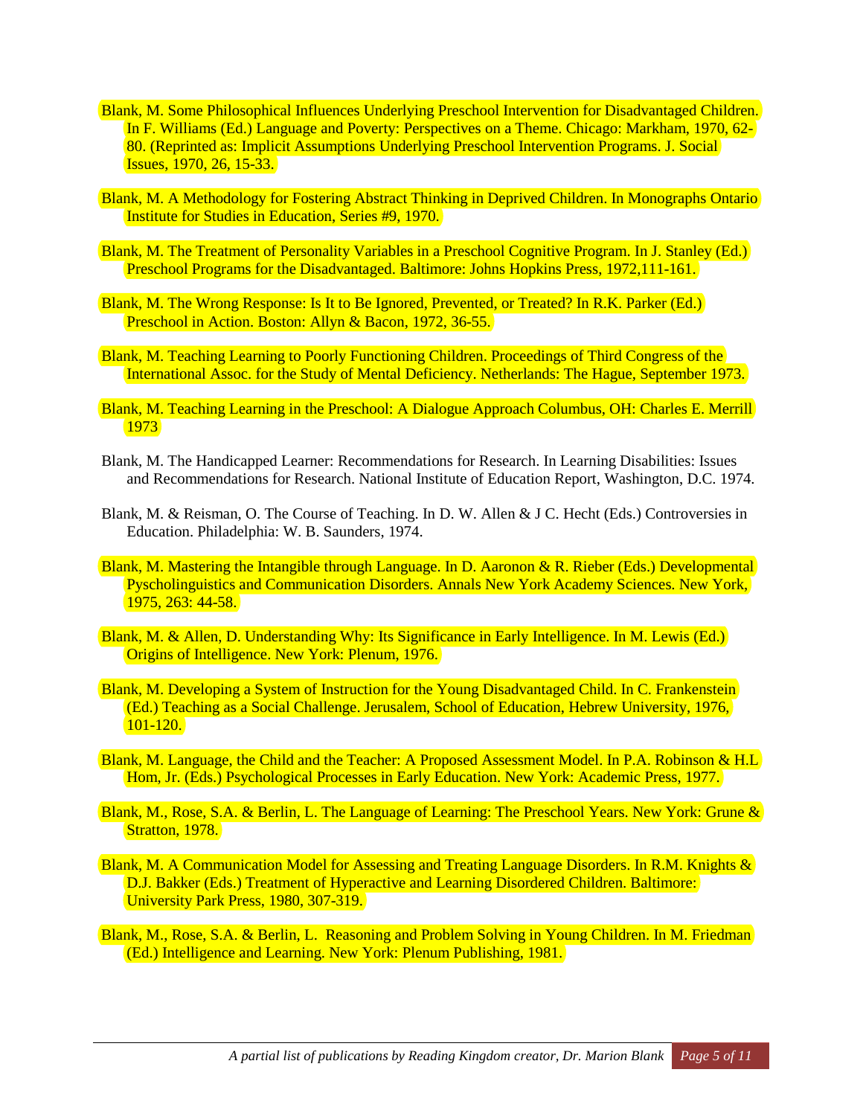- Blank, M. Some Philosophical Influences Underlying Preschool Intervention for Disadvantaged Children. In F. Williams (Ed.) Language and Poverty: Perspectives on a Theme. Chicago: Markham, 1970, 62- 80. (Reprinted as: Implicit Assumptions Underlying Preschool Intervention Programs. J. Social **Issues, 1970, 26, 15-33.**
- Blank, M. A Methodology for Fostering Abstract Thinking in Deprived Children. In Monographs Ontario Institute for Studies in Education, Series #9, 1970.
- Blank, M. The Treatment of Personality Variables in a Preschool Cognitive Program. In J. Stanley (Ed.) Preschool Programs for the Disadvantaged. Baltimore: Johns Hopkins Press, 1972,111-161.
- Blank, M. The Wrong Response: Is It to Be Ignored, Prevented, or Treated? In R.K. Parker (Ed.) Preschool in Action. Boston: Allyn & Bacon, 1972, 36-55.
- Blank, M. Teaching Learning to Poorly Functioning Children. Proceedings of Third Congress of the International Assoc. for the Study of Mental Deficiency. Netherlands: The Hague, September 1973.
- Blank, M. Teaching Learning in the Preschool: A Dialogue Approach Columbus, OH: Charles E. Merrill 1973
- Blank, M. The Handicapped Learner: Recommendations for Research. In Learning Disabilities: Issues and Recommendations for Research. National Institute of Education Report, Washington, D.C. 1974.
- Blank, M. & Reisman, O. The Course of Teaching. In D. W. Allen & J C. Hecht (Eds.) Controversies in Education. Philadelphia: W. B. Saunders, 1974.
- Blank, M. Mastering the Intangible through Language. In D. Aaronon & R. Rieber (Eds.) Developmental Pyscholinguistics and Communication Disorders. Annals New York Academy Sciences. New York, 1975, 263: 44-58.
- Blank, M. & Allen, D. Understanding Why: Its Significance in Early Intelligence. In M. Lewis (Ed.) Origins of Intelligence. New York: Plenum, 1976.
- Blank, M. Developing a System of Instruction for the Young Disadvantaged Child. In C. Frankenstein (Ed.) Teaching as a Social Challenge. Jerusalem, School of Education, Hebrew University, 1976, 101-120.
- Blank, M. Language, the Child and the Teacher: A Proposed Assessment Model. In P.A. Robinson & H.L Hom, Jr. (Eds.) Psychological Processes in Early Education. New York: Academic Press, 1977.
- Blank, M., Rose, S.A. & Berlin, L. The Language of Learning: The Preschool Years. New York: Grune & Stratton, 1978.
- Blank, M. A Communication Model for Assessing and Treating Language Disorders. In R.M. Knights & D.J. Bakker (Eds.) Treatment of Hyperactive and Learning Disordered Children. Baltimore: University Park Press, 1980, 307-319.
- Blank, M., Rose, S.A. & Berlin, L. Reasoning and Problem Solving in Young Children. In M. Friedman (Ed.) Intelligence and Learning. New York: Plenum Publishing, 1981.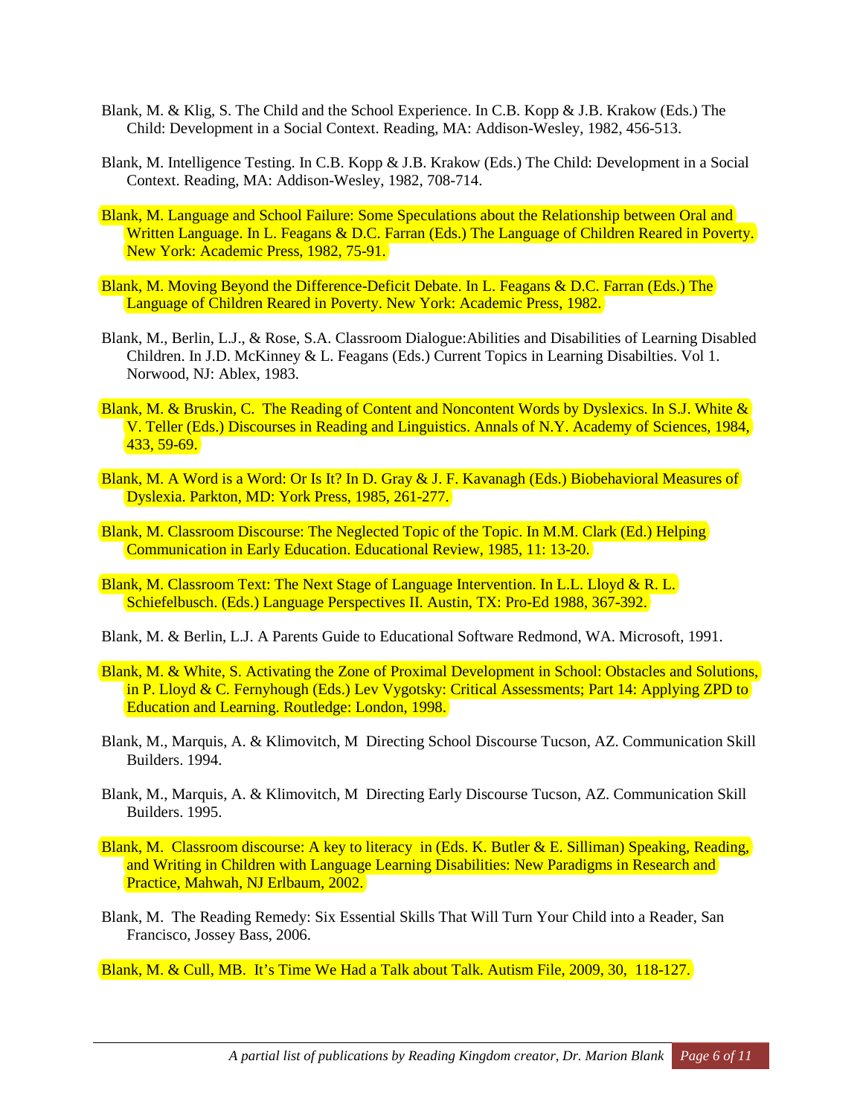- Blank, M. & Klig, S. The Child and the School Experience. In C.B. Kopp & J.B. Krakow (Eds.) The Child: Development in a Social Context. Reading, MA: Addison-Wesley, 1982, 456-513.
- Blank, M. Intelligence Testing. In C.B. Kopp & J.B. Krakow (Eds.) The Child: Development in a Social Context. Reading, MA: Addison-Wesley, 1982, 708-714.
- Blank, M. Language and School Failure: Some Speculations about the Relationship between Oral and Written Language. In L. Feagans & D.C. Farran (Eds.) The Language of Children Reared in Poverty. New York: Academic Press, 1982, 75-91.
- Blank, M. Moving Beyond the Difference-Deficit Debate. In L. Feagans & D.C. Farran (Eds.) The Language of Children Reared in Poverty. New York: Academic Press, 1982.
- Blank, M., Berlin, L.J., & Rose, S.A. Classroom Dialogue:Abilities and Disabilities of Learning Disabled Children. In J.D. McKinney & L. Feagans (Eds.) Current Topics in Learning Disabilties. Vol 1. Norwood, NJ: Ablex, 1983.
- Blank, M. & Bruskin, C. The Reading of Content and Noncontent Words by Dyslexics. In S.J. White & V. Teller (Eds.) Discourses in Reading and Linguistics. Annals of N.Y. Academy of Sciences, 1984, 433, 59-69.
- Blank, M. A Word is a Word: Or Is It? In D. Gray & J. F. Kavanagh (Eds.) Biobehavioral Measures of Dyslexia. Parkton, MD: York Press, 1985, 261-277.
- Blank, M. Classroom Discourse: The Neglected Topic of the Topic. In M.M. Clark (Ed.) Helping Communication in Early Education. Educational Review, 1985, 11: 13-20.
- Blank, M. Classroom Text: The Next Stage of Language Intervention. In L.L. Lloyd & R. L. Schiefelbusch. (Eds.) Language Perspectives II. Austin, TX: Pro-Ed 1988, 367-392.
- Blank, M. & Berlin, L.J. A Parents Guide to Educational Software Redmond, WA. Microsoft, 1991.
- Blank, M. & White, S. Activating the Zone of Proximal Development in School: Obstacles and Solutions, in P. Lloyd & C. Fernyhough (Eds.) Lev Vygotsky: Critical Assessments; Part 14: Applying ZPD to Education and Learning. Routledge: London, 1998.
- Blank, M., Marquis, A. & Klimovitch, M Directing School Discourse Tucson, AZ. Communication Skill Builders. 1994.
- Blank, M., Marquis, A. & Klimovitch, M Directing Early Discourse Tucson, AZ. Communication Skill Builders. 1995.
- Blank, M. Classroom discourse: A key to literacy in (Eds. K. Butler & E. Silliman) Speaking, Reading, and Writing in Children with Language Learning Disabilities: New Paradigms in Research and Practice, Mahwah, NJ Erlbaum, 2002.
- Blank, M. The Reading Remedy: Six Essential Skills That Will Turn Your Child into a Reader, San Francisco, Jossey Bass, 2006.

Blank, M. & Cull, MB. It's Time We Had a Talk about Talk. Autism File, 2009, 30, 118-127.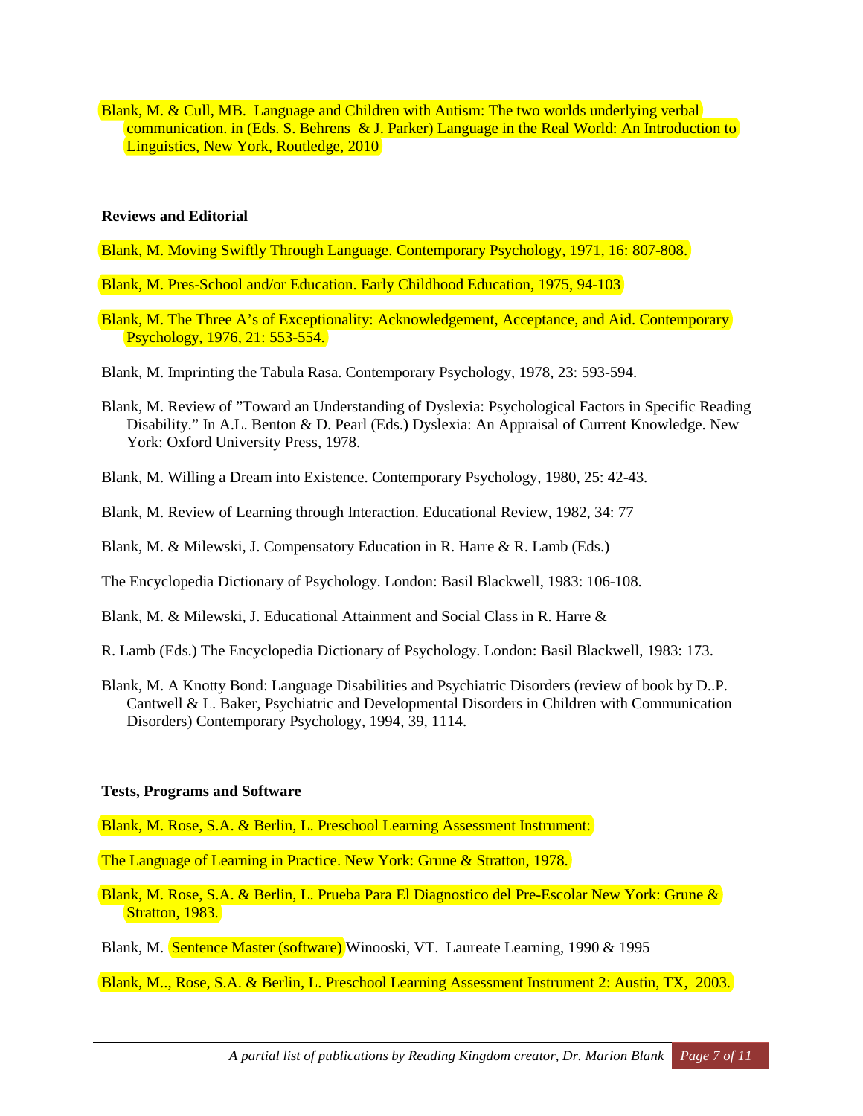Blank, M. & Cull, MB. Language and Children with Autism: The two worlds underlying verbal communication. in (Eds. S. Behrens & J. Parker) Language in the Real World: An Introduction to Linguistics, New York, Routledge, 2010

#### **Reviews and Editorial**

- Blank, M. Moving Swiftly Through Language. Contemporary Psychology, 1971, 16: 807-808.
- Blank, M. Pres-School and/or Education. Early Childhood Education, 1975, 94-103
- Blank, M. The Three A's of Exceptionality: Acknowledgement, Acceptance, and Aid. Contemporary Psychology, 1976, 21: 553-554.
- Blank, M. Imprinting the Tabula Rasa. Contemporary Psychology, 1978, 23: 593-594.
- Blank, M. Review of "Toward an Understanding of Dyslexia: Psychological Factors in Specific Reading Disability." In A.L. Benton & D. Pearl (Eds.) Dyslexia: An Appraisal of Current Knowledge. New York: Oxford University Press, 1978.
- Blank, M. Willing a Dream into Existence. Contemporary Psychology, 1980, 25: 42-43.
- Blank, M. Review of Learning through Interaction. Educational Review, 1982, 34: 77
- Blank, M. & Milewski, J. Compensatory Education in R. Harre & R. Lamb (Eds.)
- The Encyclopedia Dictionary of Psychology. London: Basil Blackwell, 1983: 106-108.
- Blank, M. & Milewski, J. Educational Attainment and Social Class in R. Harre &
- R. Lamb (Eds.) The Encyclopedia Dictionary of Psychology. London: Basil Blackwell, 1983: 173.
- Blank, M. A Knotty Bond: Language Disabilities and Psychiatric Disorders (review of book by D..P. Cantwell & L. Baker, Psychiatric and Developmental Disorders in Children with Communication Disorders) Contemporary Psychology, 1994, 39, 1114.

## **Tests, Programs and Software**

Blank, M. Rose, S.A. & Berlin, L. Preschool Learning Assessment Instrument:

The Language of Learning in Practice. New York: Grune & Stratton, 1978.

Blank, M. Rose, S.A. & Berlin, L. Prueba Para El Diagnostico del Pre-Escolar New York: Grune & Stratton, 1983.

Blank, M. Sentence Master (software) Winooski, VT. Laureate Learning, 1990 & 1995

Blank, M.., Rose, S.A. & Berlin, L. Preschool Learning Assessment Instrument 2: Austin, TX, 2003.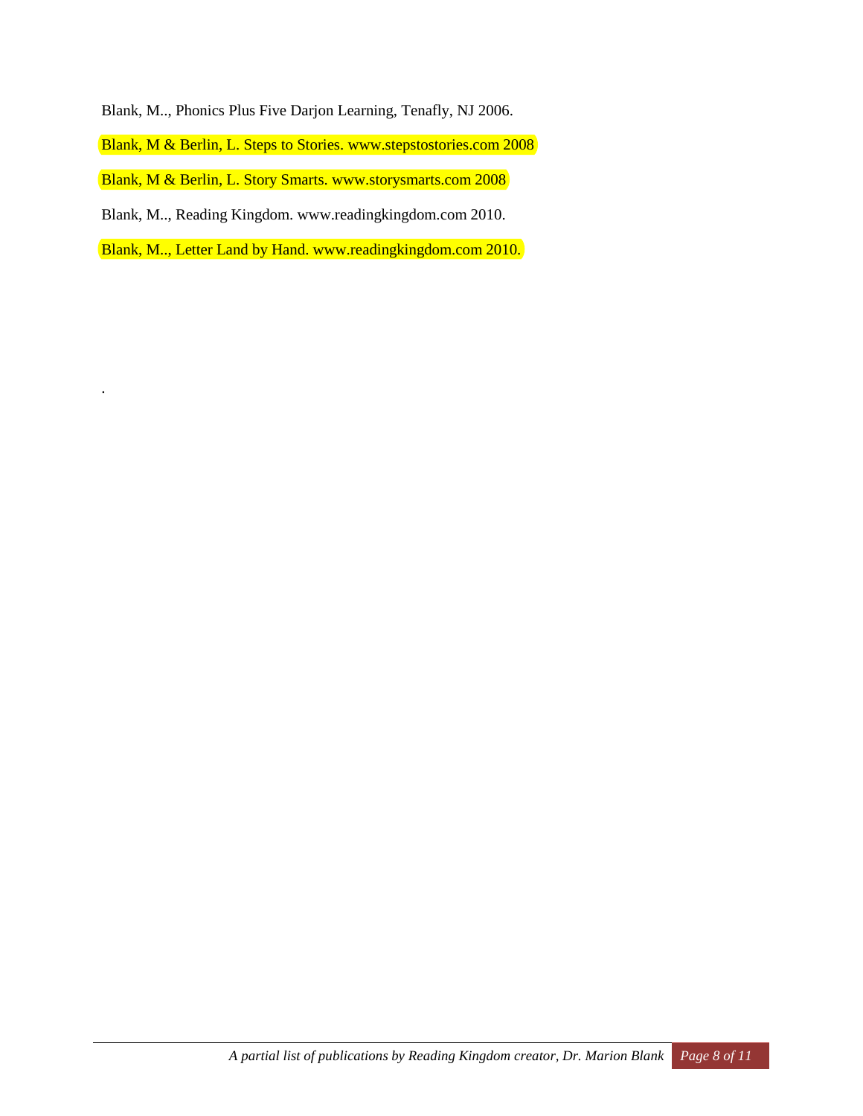Blank, M.., Phonics Plus Five Darjon Learning, Tenafly, NJ 2006.

Blank, M & Berlin, L. Steps to Stories. [www.stepstostories.com](http://www.stepstostories.com/) 2008

Blank, M & Berlin, L. Story Smarts. [www.storysmarts.com](http://www.stepstostories.com/) 2008

Blank, M.., Reading Kingdom. [www.readingkingdom.com](http://www.readingkingdom.com/) 2010.

.

Blank, M.., Letter Land by Hand. [www.readingkingdom.com](http://www.readingkingdom.com/) 2010.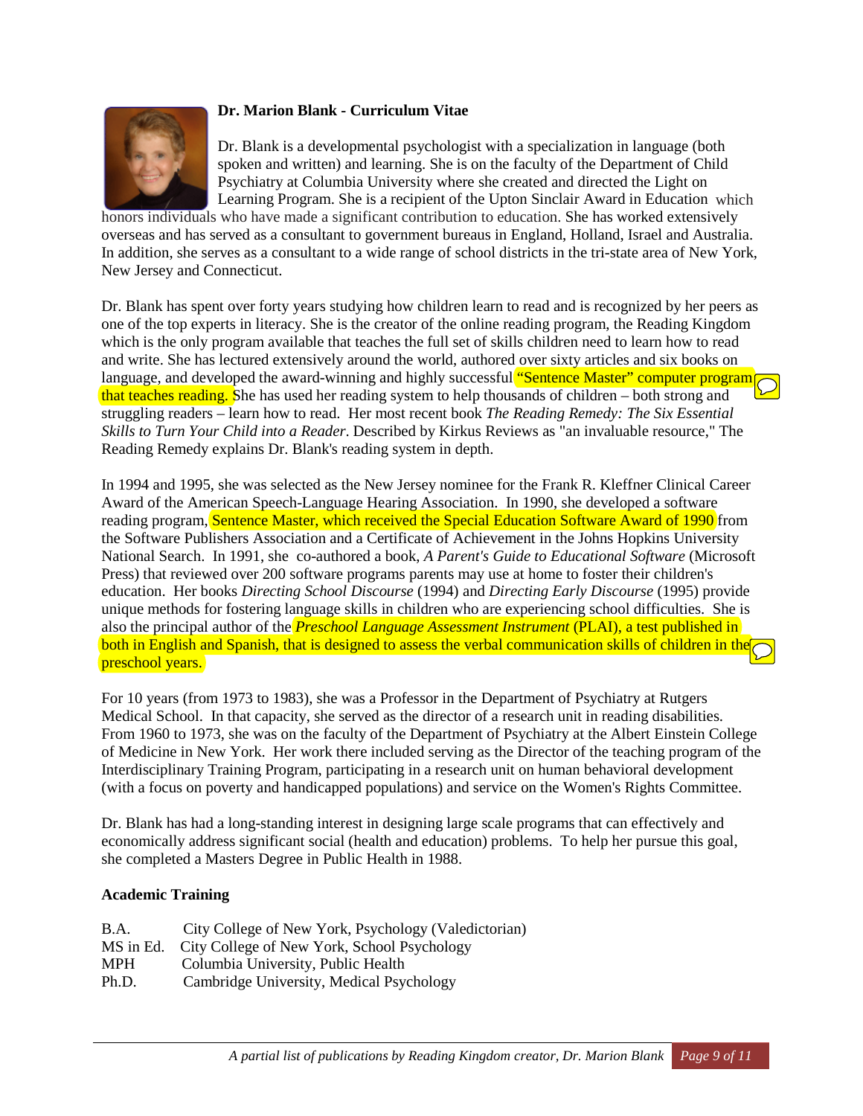

# **Dr. Marion Blank - Curriculum Vitae**

Dr. Blank is a developmental psychologist with a specialization in language (both spoken and written) and learning. She is on the faculty of the Department of Child Psychiatry at Columbia University where she created and directed the Light on Learning Program. She is a recipient of the Upton Sinclair Award in Education which

honors individuals who have made a significant contribution to education. She has worked extensively overseas and has served as a consultant to government bureaus in England, Holland, Israel and Australia. In addition, she serves as a consultant to a wide range of school districts in the tri-state area of New York, New Jersey and Connecticut.

Dr. Blank has spent over forty years studying how children learn to read and is recognized by her peers as one of the top experts in literacy. She is the creator of the online reading program, the Reading Kingdom which is the only program available that teaches the full set of skills children need to learn how to read and write. She has lectured extensively around the world, authored over sixty articles and six books on language, and developed the award-winning and highly successful "Sentence Master" computer program that teaches reading. She has used her reading system to help thousands of children – both strong and struggling readers – learn how to read. Her most recent book *The Reading Remedy: The Six Essential Skills to Turn Your Child into a Reader*. Described by Kirkus Reviews as "an invaluable resource," The Reading Remedy explains Dr. Blank's reading system in depth.

In 1994 and 1995, she was selected as the New Jersey nominee for the Frank R. Kleffner Clinical Career Award of the American Speech-Language Hearing Association. In 1990, she developed a software reading program, Sentence Master, which received the Special Education Software Award of 1990 from the Software Publishers Association and a Certificate of Achievement in the Johns Hopkins University National Search. In 1991, she co-authored a book, *A Parent's Guide to Educational Software* (Microsoft Press) that reviewed over 200 software programs parents may use at home to foster their children's education. Her books *Directing School Discourse* (1994) and *Directing Early Discourse* (1995) provide unique methods for fostering language skills in children who are experiencing school difficulties. She is also the principal author of the *Preschool Language Assessment Instrument* (PLAI), a test published in both in English and Spanish, that is designed to assess the verbal communication skills of children in the preschool years.

For 10 years (from 1973 to 1983), she was a Professor in the Department of Psychiatry at Rutgers Medical School. In that capacity, she served as the director of a research unit in reading disabilities. From 1960 to 1973, she was on the faculty of the Department of Psychiatry at the Albert Einstein College of Medicine in New York. Her work there included serving as the Director of the teaching program of the Interdisciplinary Training Program, participating in a research unit on human behavioral development (with a focus on poverty and handicapped populations) and service on the Women's Rights Committee.

Dr. Blank has had a long-standing interest in designing large scale programs that can effectively and economically address significant social (health and education) problems. To help her pursue this goal, she completed a Masters Degree in Public Health in 1988.

# **Academic Training**

| <b>B.A.</b> | City College of New York, Psychology (Valedictorian) |
|-------------|------------------------------------------------------|
| MS in Ed.   | City College of New York, School Psychology          |
| <b>MPH</b>  | Columbia University, Public Health                   |
| Ph.D.       | Cambridge University, Medical Psychology             |
|             |                                                      |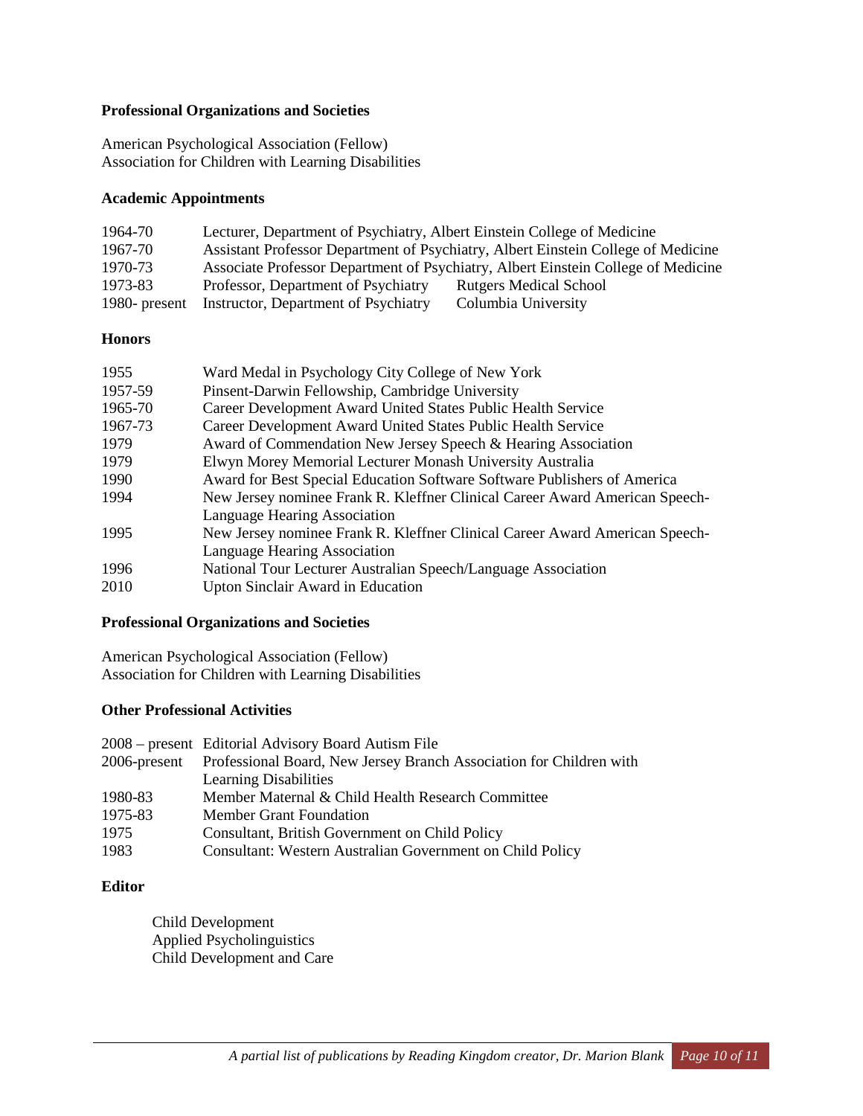### **Professional Organizations and Societies**

American Psychological Association (Fellow) Association for Children with Learning Disabilities

### **Academic Appointments**

| 1964-70       | Lecturer, Department of Psychiatry, Albert Einstein College of Medicine |                                                                                   |
|---------------|-------------------------------------------------------------------------|-----------------------------------------------------------------------------------|
| 1967-70       |                                                                         | Assistant Professor Department of Psychiatry, Albert Einstein College of Medicine |
| 1970-73       |                                                                         | Associate Professor Department of Psychiatry, Albert Einstein College of Medicine |
| 1973-83       | Professor, Department of Psychiatry                                     | <b>Rutgers Medical School</b>                                                     |
| 1980- present | Instructor, Department of Psychiatry                                    | Columbia University                                                               |

#### **Honors**

| 1955    | Ward Medal in Psychology City College of New York                           |
|---------|-----------------------------------------------------------------------------|
| 1957-59 | Pinsent-Darwin Fellowship, Cambridge University                             |
| 1965-70 | Career Development Award United States Public Health Service                |
| 1967-73 | Career Development Award United States Public Health Service                |
| 1979    | Award of Commendation New Jersey Speech & Hearing Association               |
| 1979    | Elwyn Morey Memorial Lecturer Monash University Australia                   |
| 1990    | Award for Best Special Education Software Software Publishers of America    |
| 1994    | New Jersey nominee Frank R. Kleffner Clinical Career Award American Speech- |
|         | Language Hearing Association                                                |
| 1995    | New Jersey nominee Frank R. Kleffner Clinical Career Award American Speech- |
|         | Language Hearing Association                                                |
| 1996    | National Tour Lecturer Australian Speech/Language Association               |
| 2010    | <b>Upton Sinclair Award in Education</b>                                    |
|         |                                                                             |

## **Professional Organizations and Societies**

American Psychological Association (Fellow) Association for Children with Learning Disabilities

## **Other Professional Activities**

|         | 2008 – present Editorial Advisory Board Autism File                              |
|---------|----------------------------------------------------------------------------------|
|         | 2006-present Professional Board, New Jersey Branch Association for Children with |
|         | <b>Learning Disabilities</b>                                                     |
| 1980-83 | Member Maternal & Child Health Research Committee                                |
| 1975-83 | <b>Member Grant Foundation</b>                                                   |
| 1975    | Consultant, British Government on Child Policy                                   |
| 1983    | Consultant: Western Australian Government on Child Policy                        |

# **Editor**

Child Development Applied Psycholinguistics Child Development and Care